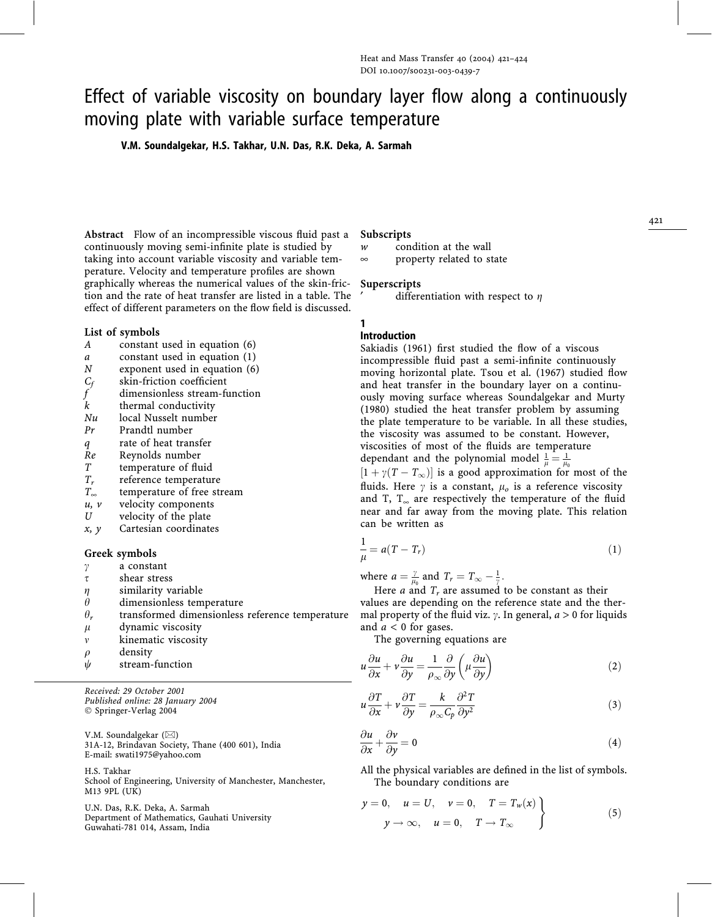# Effect of variable viscosity on boundary layer flow along a continuously moving plate with variable surface temperature

V.M. Soundalgekar, H.S. Takhar, U.N. Das, R.K. Deka, A. Sarmah

Abstract Flow of an incompressible viscous fluid past a continuously moving semi-infinite plate is studied by taking into account variable viscosity and variable temperature. Velocity and temperature profiles are shown graphically whereas the numerical values of the skin-friction and the rate of heat transfer are listed in a table. The effect of different parameters on the flow field is discussed.

#### List of symbols

- A constant used in equation (6)
- $a$  constant used in equation (1)<br> $N$  exponent used in equation (6)
- exponent used in equation (6)
- $C_f$  skin-friction coefficient<br>f dimensionless stream-fi
- dimensionless stream-function
- k thermal conductivity
- Nu local Nusselt number
- Pr Prandtl number
- q rate of heat transfer
- Re Reynolds number
- T temperature of fluid
- $T_r$  reference temperature<br> $T_{\infty}$  temperature of free sti
- temperature of free stream
- $u, v$  velocity components<br> $U$  velocity of the plate
- velocity of the plate
- $x, y$  Cartesian coordinates

#### Greek symbols

- $\gamma$  a constant
- $\tau$  shear stress
- $\eta$  similarity variable
- $\theta_r$  dimensionless temperature<br> $\theta_r$  transformed dimensionless
- transformed dimensionless reference temperature
- $\mu$  dynamic viscosity
- $v$  kinematic viscosity
- $\rho$  density
- $\psi$  stream-function

Received: 29 October 2001 Published online: 28 January 2004 Springer-Verlag 2004

V.M. Soundalgekar  $(\boxtimes)$ 31A-12, Brindavan Society, Thane (400 601), India E-mail: swati1975@yahoo.com

H.S. Takhar School of Engineering, University of Manchester, Manchester, M13 9PL (UK)

U.N. Das, R.K. Deka, A. Sarmah Department of Mathematics, Gauhati University Guwahati-781 014, Assam, India

### Subscripts

w condition at the wall

 $\infty$  property related to state

#### Superscripts

differentiation with respect to  $\eta$ 

#### 1 Introduction

Sakiadis (1961) first studied the flow of a viscous incompressible fluid past a semi-infinite continuously moving horizontal plate. Tsou et al. (1967) studied flow and heat transfer in the boundary layer on a continuously moving surface whereas Soundalgekar and Murty (1980) studied the heat transfer problem by assuming the plate temperature to be variable. In all these studies, the viscosity was assumed to be constant. However, viscosities of most of the fluids are temperature dependant and the polynomial model  $\frac{1}{\mu} = \frac{1}{\mu_0}$  $[1 + \gamma(T - T_{\infty})]$  is a good approximation for most of the fluids. Here  $\gamma$  is a constant,  $\mu_o$  is a reference viscosity and T,  $T_{\infty}$  are respectively the temperature of the fluid near and far away from the moving plate. This relation

$$
\frac{1}{\mu} = a(T - T_r) \tag{1}
$$

where  $a = \frac{\gamma}{\mu_0}$  and  $T_r = T_\infty - \frac{1}{\gamma}$ .

can be written as

Here *a* and  $T_r$  are assumed to be constant as their values are depending on the reference state and the thermal property of the fluid viz.  $\gamma$ . In general,  $a > 0$  for liquids and  $a < 0$  for gases.

The governing equations are

$$
u\frac{\partial u}{\partial x} + v\frac{\partial u}{\partial y} = \frac{1}{\rho_{\infty}}\frac{\partial}{\partial y}\left(\mu\frac{\partial u}{\partial y}\right)
$$
 (2)

$$
u\frac{\partial T}{\partial x} + v\frac{\partial T}{\partial y} = \frac{k}{\rho_{\infty}C_p}\frac{\partial^2 T}{\partial y^2}
$$
 (3)

$$
\frac{\partial u}{\partial x} + \frac{\partial v}{\partial y} = 0\tag{4}
$$

All the physical variables are defined in the list of symbols. The boundary conditions are

$$
y = 0, \quad u = U, \quad v = 0, \quad T = T_w(x)
$$
  

$$
y \rightarrow \infty, \quad u = 0, \quad T \rightarrow T_{\infty}
$$
 (5)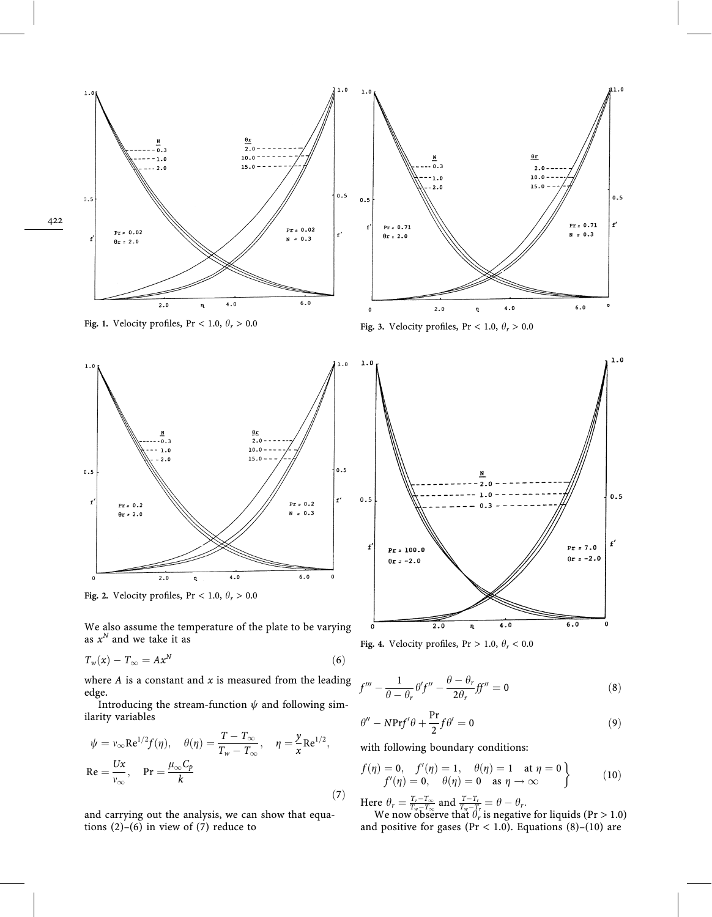

Fig. 1. Velocity profiles, Pr < 1.0,  $\theta_r$  > 0.0 Fig. 3. Velocity profiles, Pr < 1.0,  $\theta_r$  > 0.0



Fig. 2. Velocity profiles, Pr < 1.0,  $\theta_r > 0.0$ 

We also assume the temperature of the plate to be varying as  $x^N$  and we take it as

$$
T_w(x) - T_\infty = Ax^N \tag{6}
$$

where  $A$  is a constant and  $x$  is measured from the leading edge.

Introducing the stream-function  $\psi$  and following similarity variables

$$
\psi = v_{\infty} \text{Re}^{1/2} f(\eta), \quad \theta(\eta) = \frac{T - T_{\infty}}{T_w - T_{\infty}}, \quad \eta = \frac{y}{x} \text{Re}^{1/2},
$$
  
Re =  $\frac{Ux}{v_{\infty}}$ , Pr =  $\frac{\mu_{\infty} C_p}{k}$  (7)

and carrying out the analysis, we can show that equations  $(2)-(6)$  in view of  $(7)$  reduce to



Fig. 4. Velocity profiles, Pr > 1.0,  $\theta_r$  < 0.0

$$
f''' - \frac{1}{\theta - \theta_r} \theta' f'' - \frac{\theta - \theta_r}{2\theta_r} f f'' = 0
$$
\n(8)

$$
\theta'' - NPrf'\theta + \frac{Pr}{2}f\theta' = 0
$$
\n(9)

with following boundary conditions:

$$
f(\eta) = 0, \quad f'(\eta) = 1, \quad \theta(\eta) = 1 \quad \text{at } \eta = 0f'(\eta) = 0, \quad \theta(\eta) = 0 \quad \text{as } \eta \to \infty
$$
 (10)

Here  $\theta_r = \frac{T_r - T_\infty}{T_w - T_\infty}$  and  $\frac{T - T_r}{T_w - T_r} = \theta - \theta_r$ .

We now observe that  $\theta_r$  is negative for liquids (Pr > 1.0) and positive for gases (Pr < 1.0). Equations (8)-(10) are

422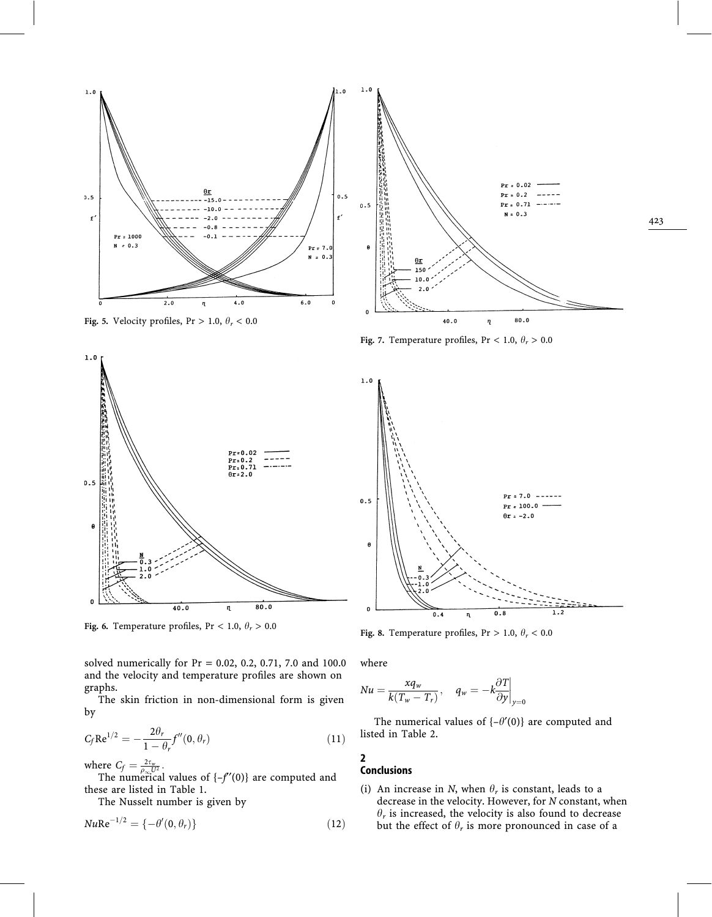

Fig. 7. Temperature profiles, Pr < 1.0,  $\theta_r$  > 0.0



Fig. 6. Temperature profiles, Pr < 1.0,  $\theta_r$  > 0.0

solved numerically for Pr = 0.02, 0.2, 0.71, 7.0 and 100.0 and the velocity and temperature profiles are shown on graphs.

The skin friction in non-dimensional form is given by

$$
C_f \text{Re}^{1/2} = -\frac{2\theta_r}{1 - \theta_r} f''(0, \theta_r)
$$
\n(11)

where  $C_f = \frac{2\tau_w}{\rho_\infty U^2}$ .<br>The numerical values of {-f'(0)} are computed and these are listed in Table 1.

The Nusselt number is given by

$$
Nu\text{Re}^{-1/2} = \{-\theta'(0,\theta_r)\}\tag{12}
$$



423

Fig. 8. Temperature profiles, Pr > 1.0,  $\theta_r$  < 0.0

where

$$
Nu = \frac{xq_w}{k(T_w - T_r)}, \quad q_w = -k\frac{\partial T}{\partial y}\bigg|_{y=0}
$$

The numerical values of  $\{-\theta'(0)\}$  are computed and listed in Table 2.

## Conclusions

2

(i) An increase in N, when  $\theta_r$  is constant, leads to a decrease in the velocity. However, for N constant, when  $\theta_r$  is increased, the velocity is also found to decrease but the effect of  $\theta_r$  is more pronounced in case of a